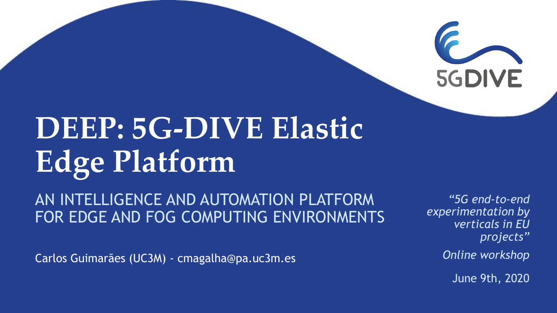

## **DEEP: 5G-DIVE Elastic Edge Platform**

AN INTELLIGENCE AND AUTOMATION PLATFORM FOR EDGE AND FOG COMPUTING ENVIRONMENTS

Carlos Guimarães (UC3M) - cmagalha@pa.uc3m.es

*"5G end-to-end experimentation by verticals in EU projects" Online workshop*

June 9th, 2020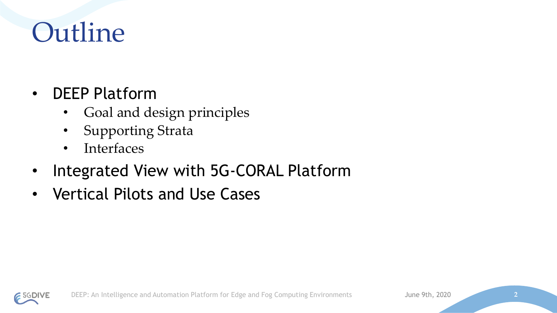### Outline

- DEEP Platform
	- Goal and design principles
	- Supporting Strata
	- Interfaces
- Integrated View with 5G-CORAL Platform
- Vertical Pilots and Use Cases

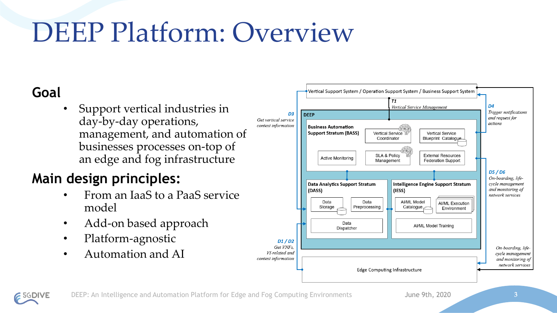### DEEP Platform: Overview

#### **Goal**

• Support vertical industries in day-by-day operations, management, and automation of businesses processes on-top of an edge and fog infrastructure

#### **Main design principles:**

- From an IaaS to a PaaS service model
- Add-on based approach
- Platform-agnostic
- Automation and AI

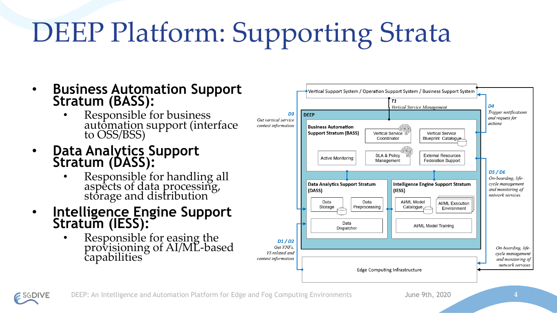# DEEP Platform: Supporting Strata

- **Business Automation Support Stratum (BASS):**
	- Responsible for business automation support (interface to OSS/BSS)
- **Data Analytics Support Stratum (DASS):**
	- Responsible for handling all aspects of data processing, storage and distribution
- **Intelligence Engine Support Stratum (IESS):**
	- Responsible for easing the provisioning of AI/ML-based capabilities



DEEP: An Intelligence and Automation Platform for Edge and Fog Computing Environments June 9th, 2020 **4**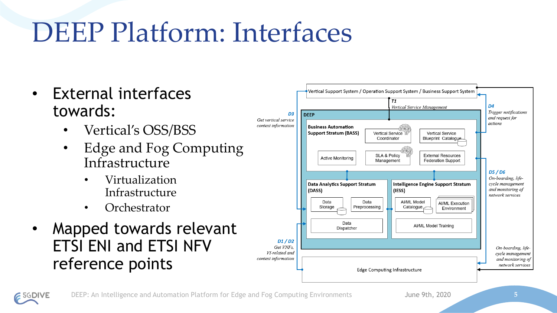### DEEP Platform: Interfaces

- External interfaces towards:
	- Vertical's OSS/BSS
	- Edge and Fog Computing Infrastructure
		- Virtualization Infrastructure
		- Orchestrator
- Mapped towards relevant ETSI ENI and ETSI NFV reference points

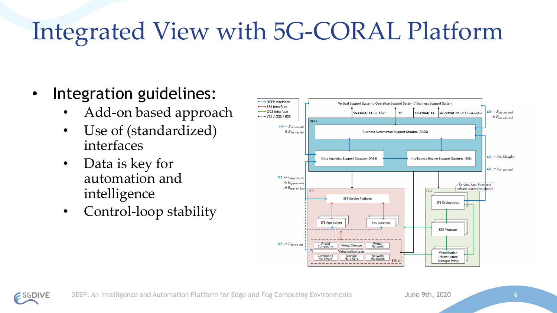### Integrated View with 5G-CORAL Platform

- Integration guidelines:
	- Add-on based approach
	- Use of (standardized) interfaces
	- Data is key for automation and intelligence
	- Control-loop stability

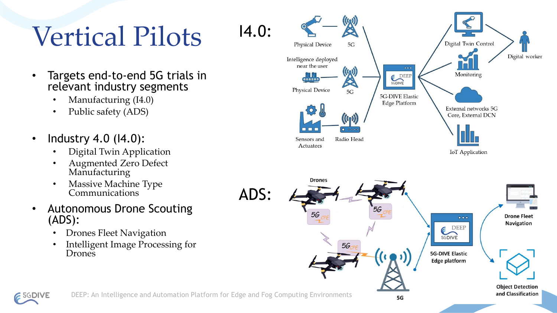### Vertical Pilots 14.0:

- Targets end-to-end 5G trials in relevant industry segments
	- Manufacturing (I4.0)
	- Public safety (ADS)
- Industry 4.0 (14.0):
	- Digital Twin Application
	- Augmented Zero Defect Manufacturing
	- Massive Machine Type Communications
- Autonomous Drone Scouting (ADS):
	- Drones Fleet Navigation
	- Intelligent Image Processing for Drones